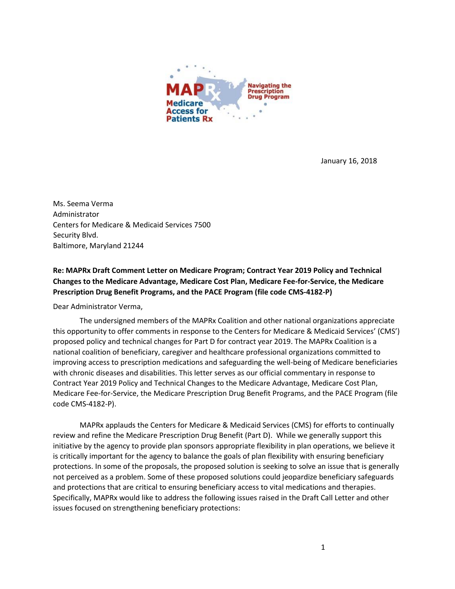

January 16, 2018

Ms. Seema Verma Administrator Centers for Medicare & Medicaid Services 7500 Security Blvd. Baltimore, Maryland 21244

**Re: MAPRx Draft Comment Letter on Medicare Program; Contract Year 2019 Policy and Technical Changes to the Medicare Advantage, Medicare Cost Plan, Medicare Fee-for-Service, the Medicare Prescription Drug Benefit Programs, and the PACE Program (file code CMS-4182-P)**

Dear Administrator Verma,

The undersigned members of the MAPRx Coalition and other national organizations appreciate this opportunity to offer comments in response to the Centers for Medicare & Medicaid Services' (CMS') proposed policy and technical changes for Part D for contract year 2019. The MAPRx Coalition is a national coalition of beneficiary, caregiver and healthcare professional organizations committed to improving access to prescription medications and safeguarding the well-being of Medicare beneficiaries with chronic diseases and disabilities. This letter serves as our official commentary in response to Contract Year 2019 Policy and Technical Changes to the Medicare Advantage, Medicare Cost Plan, Medicare Fee-for-Service, the Medicare Prescription Drug Benefit Programs, and the PACE Program (file code CMS-4182-P).

MAPRx applauds the Centers for Medicare & Medicaid Services (CMS) for efforts to continually review and refine the Medicare Prescription Drug Benefit (Part D). While we generally support this initiative by the agency to provide plan sponsors appropriate flexibility in plan operations, we believe it is critically important for the agency to balance the goals of plan flexibility with ensuring beneficiary protections. In some of the proposals, the proposed solution is seeking to solve an issue that is generally not perceived as a problem. Some of these proposed solutions could jeopardize beneficiary safeguards and protections that are critical to ensuring beneficiary access to vital medications and therapies. Specifically, MAPRx would like to address the following issues raised in the Draft Call Letter and other issues focused on strengthening beneficiary protections: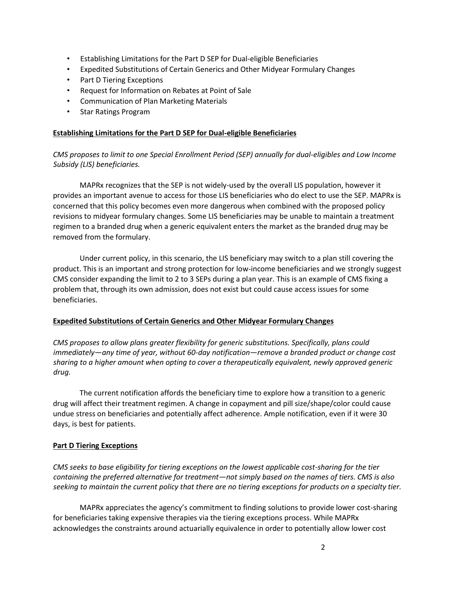- Establishing Limitations for the Part D SEP for Dual-eligible Beneficiaries
- Expedited Substitutions of Certain Generics and Other Midyear Formulary Changes
- Part D Tiering Exceptions
- Request for Information on Rebates at Point of Sale
- Communication of Plan Marketing Materials
- Star Ratings Program

# **Establishing Limitations for the Part D SEP for Dual-eligible Beneficiaries**

*CMS proposes to limit to one Special Enrollment Period (SEP) annually for dual-eligibles and Low Income Subsidy (LIS) beneficiaries.* 

MAPRx recognizes that the SEP is not widely-used by the overall LIS population, however it provides an important avenue to access for those LIS beneficiaries who do elect to use the SEP. MAPRx is concerned that this policy becomes even more dangerous when combined with the proposed policy revisions to midyear formulary changes. Some LIS beneficiaries may be unable to maintain a treatment regimen to a branded drug when a generic equivalent enters the market as the branded drug may be removed from the formulary.

Under current policy, in this scenario, the LIS beneficiary may switch to a plan still covering the product. This is an important and strong protection for low-income beneficiaries and we strongly suggest CMS consider expanding the limit to 2 to 3 SEPs during a plan year. This is an example of CMS fixing a problem that, through its own admission, does not exist but could cause access issues for some beneficiaries.

# **Expedited Substitutions of Certain Generics and Other Midyear Formulary Changes**

*CMS proposes to allow plans greater flexibility for generic substitutions. Specifically, plans could immediately—any time of year, without 60-day notification—remove a branded product or change cost sharing to a higher amount when opting to cover a therapeutically equivalent, newly approved generic drug.* 

The current notification affords the beneficiary time to explore how a transition to a generic drug will affect their treatment regimen. A change in copayment and pill size/shape/color could cause undue stress on beneficiaries and potentially affect adherence. Ample notification, even if it were 30 days, is best for patients.

# **Part D Tiering Exceptions**

*CMS seeks to base eligibility for tiering exceptions on the lowest applicable cost-sharing for the tier containing the preferred alternative for treatment—not simply based on the names of tiers. CMS is also seeking to maintain the current policy that there are no tiering exceptions for products on a specialty tier.* 

MAPRx appreciates the agency's commitment to finding solutions to provide lower cost-sharing for beneficiaries taking expensive therapies via the tiering exceptions process. While MAPRx acknowledges the constraints around actuarially equivalence in order to potentially allow lower cost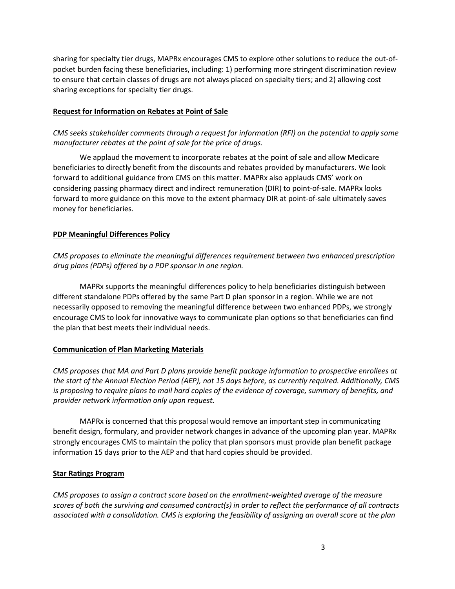sharing for specialty tier drugs, MAPRx encourages CMS to explore other solutions to reduce the out-ofpocket burden facing these beneficiaries, including: 1) performing more stringent discrimination review to ensure that certain classes of drugs are not always placed on specialty tiers; and 2) allowing cost sharing exceptions for specialty tier drugs.

# **Request for Information on Rebates at Point of Sale**

*CMS seeks stakeholder comments through a request for information (RFI) on the potential to apply some manufacturer rebates at the point of sale for the price of drugs.* 

We applaud the movement to incorporate rebates at the point of sale and allow Medicare beneficiaries to directly benefit from the discounts and rebates provided by manufacturers. We look forward to additional guidance from CMS on this matter. MAPRx also applauds CMS' work on considering passing pharmacy direct and indirect remuneration (DIR) to point-of-sale. MAPRx looks forward to more guidance on this move to the extent pharmacy DIR at point-of-sale ultimately saves money for beneficiaries.

# **PDP Meaningful Differences Policy**

*CMS proposes to eliminate the meaningful differences requirement between two enhanced prescription drug plans (PDPs) offered by a PDP sponsor in one region.* 

MAPRx supports the meaningful differences policy to help beneficiaries distinguish between different standalone PDPs offered by the same Part D plan sponsor in a region. While we are not necessarily opposed to removing the meaningful difference between two enhanced PDPs, we strongly encourage CMS to look for innovative ways to communicate plan options so that beneficiaries can find the plan that best meets their individual needs.

# **Communication of Plan Marketing Materials**

*CMS proposes that MA and Part D plans provide benefit package information to prospective enrollees at the start of the Annual Election Period (AEP), not 15 days before, as currently required. Additionally, CMS is proposing to require plans to mail hard copies of the evidence of coverage, summary of benefits, and provider network information only upon request.* 

MAPRx is concerned that this proposal would remove an important step in communicating benefit design, formulary, and provider network changes in advance of the upcoming plan year. MAPRx strongly encourages CMS to maintain the policy that plan sponsors must provide plan benefit package information 15 days prior to the AEP and that hard copies should be provided.

# **Star Ratings Program**

*CMS proposes to assign a contract score based on the enrollment-weighted average of the measure scores of both the surviving and consumed contract(s) in order to reflect the performance of all contracts associated with a consolidation. CMS is exploring the feasibility of assigning an overall score at the plan*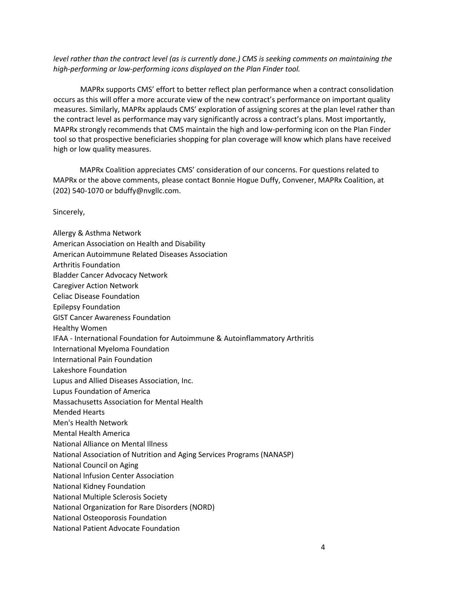*level rather than the contract level (as is currently done.) CMS is seeking comments on maintaining the high-performing or low-performing icons displayed on the Plan Finder tool.* 

MAPRx supports CMS' effort to better reflect plan performance when a contract consolidation occurs as this will offer a more accurate view of the new contract's performance on important quality measures. Similarly, MAPRx applauds CMS' exploration of assigning scores at the plan level rather than the contract level as performance may vary significantly across a contract's plans. Most importantly, MAPRx strongly recommends that CMS maintain the high and low-performing icon on the Plan Finder tool so that prospective beneficiaries shopping for plan coverage will know which plans have received high or low quality measures.

MAPRx Coalition appreciates CMS' consideration of our concerns. For questions related to MAPRx or the above comments, please contact Bonnie Hogue Duffy, Convener, MAPRx Coalition, at (202) 540-1070 or bduffy@nvgllc.com.

Sincerely,

Allergy & Asthma Network American Association on Health and Disability American Autoimmune Related Diseases Association Arthritis Foundation Bladder Cancer Advocacy Network Caregiver Action Network Celiac Disease Foundation Epilepsy Foundation GIST Cancer Awareness Foundation Healthy Women IFAA - International Foundation for Autoimmune & Autoinflammatory Arthritis International Myeloma Foundation International Pain Foundation Lakeshore Foundation Lupus and Allied Diseases Association, Inc. Lupus Foundation of America Massachusetts Association for Mental Health Mended Hearts Men's Health Network Mental Health America National Alliance on Mental Illness National Association of Nutrition and Aging Services Programs (NANASP) National Council on Aging National Infusion Center Association National Kidney Foundation National Multiple Sclerosis Society National Organization for Rare Disorders (NORD) National Osteoporosis Foundation National Patient Advocate Foundation